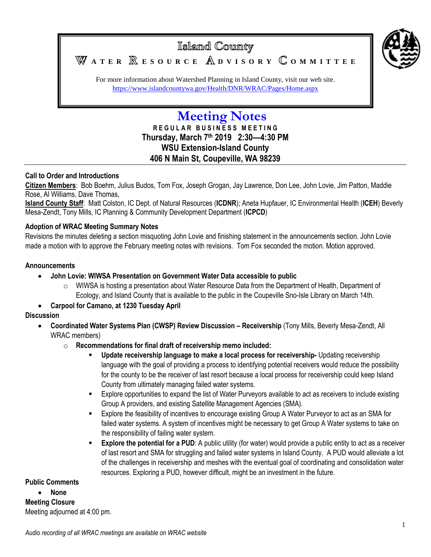

For more information about Watershed Planning in Island County, visit our web site. <https://www.islandcountywa.gov/Health/DNR/WRAC/Pages/Home.aspx>

# **Meeting Notes**

**R E G U L A R B U S I N E S S M E E T I N G Thursday, March 7 th 2019 2:30—4:30 PM WSU Extension-Island County 406 N Main St, Coupeville, WA 98239**

## **Call to Order and Introductions**

**Citizen Members**: Bob Boehm, Julius Budos, Tom Fox, Joseph Grogan, Jay Lawrence, Don Lee, John Lovie, Jim Patton, Maddie Rose, Al Williams, Dave Thomas,

**Island County Staff**: Matt Colston, IC Dept. of Natural Resources (**ICDNR**); Aneta Hupfauer, IC Environmental Health (**ICEH**) Beverly Mesa-Zendt, Tony Mills, IC Planning & Community Development Department (**ICPCD**)

## **Adoption of WRAC Meeting Summary Notes**

Revisions the minutes deleting a section misquoting John Lovie and finishing statement in the announcements section. John Lovie made a motion with to approve the February meeting notes with revisions. Tom Fox seconded the motion. Motion approved.

### **Announcements**

- **John Lovie: WIWSA Presentation on Government Water Data accessible to public**
	- $\circ$  WIWSA is hosting a presentation about Water Resource Data from the Department of Health, Department of Ecology, and Island County that is available to the public in the Coupeville Sno-Isle Library on March 14th.
- **Carpool for Camano, at 1230 Tuesday April**

## **Discussion**

- **Coordinated Water Systems Plan (CWSP) Review Discussion – Receivership** (Tony Mills, Beverly Mesa-Zendt, All WRAC members)
	- o **Recommendations for final draft of receivership memo included:**
		- **Update receivership language to make a local process for receivership-** Updating receivership language with the goal of providing a process to identifying potential receivers would reduce the possibility for the county to be the receiver of last resort because a local process for receivership could keep Island County from ultimately managing failed water systems.
		- Explore opportunities to expand the list of Water Purveyors available to act as receivers to include existing Group A providers, and existing Satellite Management Agencies (SMA).
		- Explore the feasibility of incentives to encourage existing Group A Water Purveyor to act as an SMA for failed water systems. A system of incentives might be necessary to get Group A Water systems to take on the responsibility of failing water system.
		- **Explore the potential for a PUD**: A public utility (for water) would provide a public entity to act as a receiver of last resort and SMA for struggling and failed water systems in Island County. A PUD would alleviate a lot of the challenges in receivership and meshes with the eventual goal of coordinating and consolidation water resources. Exploring a PUD, however difficult, might be an investment in the future.

#### **Public Comments**

 **None Meeting Closure** Meeting adjourned at 4:00 pm.